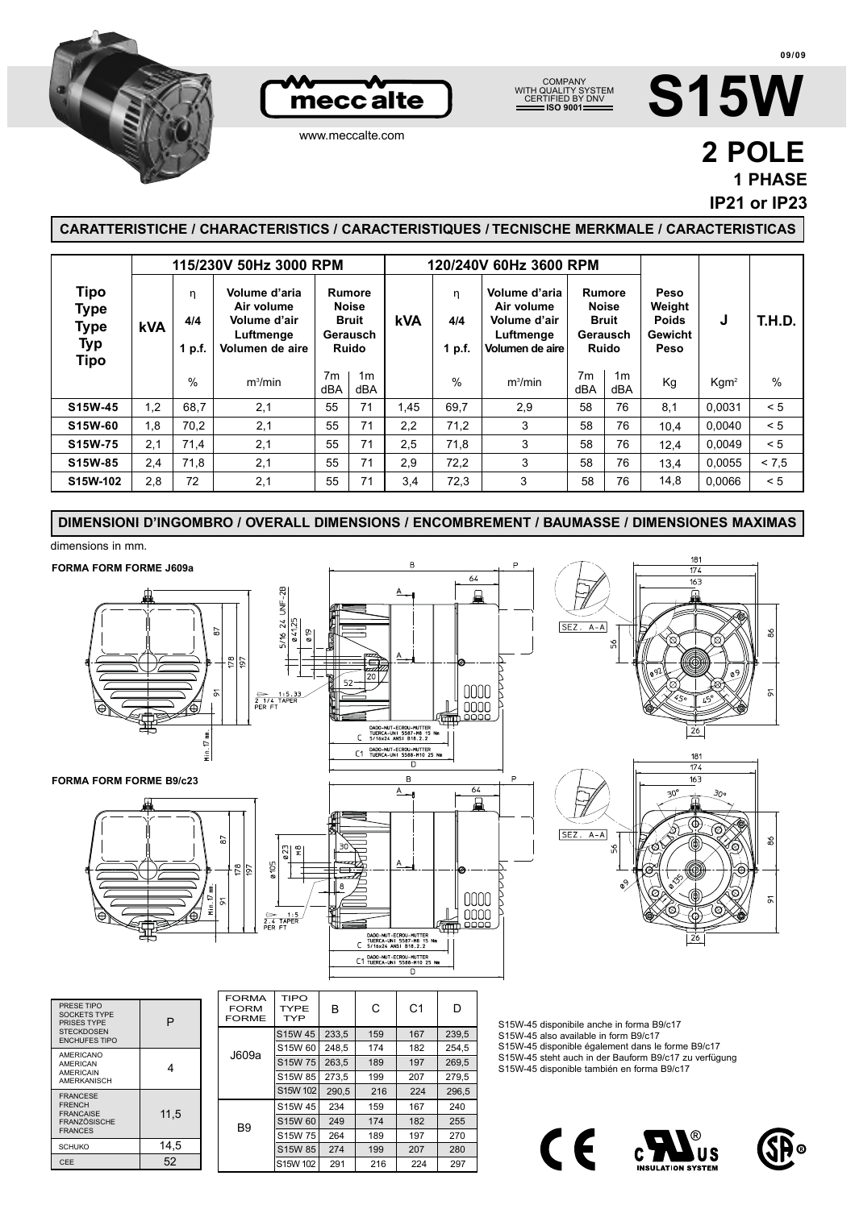





## **S15W**

www.meccalte.com

## **2 POLE 1 PHASE**

**IP21 or IP23**

## **CARATTERISTICHE / CHARACTERISTICS / CARACTERISTIQUES / TECNISCHE MERKMALE / CARACTERISTICAS**

|                                                   | 115/230V 50Hz 3000 RPM |                    |                                                                             |                       |                                                                    | 120/240V 60Hz 3600 RPM |                    |                                                                             |                       |                                                    |                                                   |                  |               |
|---------------------------------------------------|------------------------|--------------------|-----------------------------------------------------------------------------|-----------------------|--------------------------------------------------------------------|------------------------|--------------------|-----------------------------------------------------------------------------|-----------------------|----------------------------------------------------|---------------------------------------------------|------------------|---------------|
| Tipo<br><b>Type</b><br>Type<br><b>Typ</b><br>Tipo | <b>kVA</b>             | η<br>4/4<br>1 p.f. | Volume d'aria<br>Air volume<br>Volume d'air<br>Luftmenge<br>Volumen de aire |                       | Rumore<br><b>Noise</b><br><b>Bruit</b><br>Gerausch<br><b>Ruido</b> | <b>kVA</b>             | η<br>4/4<br>1 p.f. | Volume d'aria<br>Air volume<br>Volume d'air<br>Luftmenge<br>Volumen de aire | <b>Noise</b>          | Rumore<br><b>Bruit</b><br>Gerausch<br><b>Ruido</b> | Peso<br>Weight<br><b>Poids</b><br>Gewicht<br>Peso | J                | <b>T.H.D.</b> |
|                                                   |                        | %                  | m <sup>3</sup> /min                                                         | 7 <sub>m</sub><br>dBA | 1m<br>dBA                                                          |                        | %                  | m <sup>3</sup> /min                                                         | 7 <sub>m</sub><br>dBA | 1 <sub>m</sub><br>dBA                              | Kg                                                | Kgm <sup>2</sup> | $\%$          |
| S15W-45                                           | 1.2                    | 68.7               | 2,1                                                                         | 55                    | 71                                                                 | 1,45                   | 69.7               | 2.9                                                                         | 58                    | 76                                                 | 8.1                                               | 0.0031           | < 5           |
| S15W-60                                           | 1,8                    | 70,2               | 2,1                                                                         | 55                    | 71                                                                 | 2,2                    | 71,2               | 3                                                                           | 58                    | 76                                                 | 10.4                                              | 0.0040           | < 5           |
| S15W-75                                           | 2.1                    | 71,4               | 2,1                                                                         | 55                    | 71                                                                 | 2,5                    | 71,8               | 3                                                                           | 58                    | 76                                                 | 12.4                                              | 0.0049           | < 5           |
| S15W-85                                           | 2,4                    | 71,8               | 2,1                                                                         | 55                    | 71                                                                 | 2,9                    | 72,2               | 3                                                                           | 58                    | 76                                                 | 13,4                                              | 0.0055           | < 7.5         |
| S15W-102                                          | 2,8                    | 72                 | 2,1                                                                         | 55                    | 71                                                                 | 3,4                    | 72,3               | 3                                                                           | 58                    | 76                                                 | 14,8                                              | 0,0066           | < 5           |

**DIMENSIONI D'INGOMBRO / OVERALL DIMENSIONS / ENCOMBREMENT / BAUMASSE / DIMENSIONES MAXIMAS**

dimensions in mm.

52

 $14.5$ 

11,5

S15W 45 S15W 60 S15W 75

S15W 102

S15W 102

B9

234 249 264 159 174 189

S15W 85 274 199 207 280

167 182 197

290,5 216 224 296,5

291 216 224 297

240 255 270

FRANCESE FRENCH FRANCAISE FRANZÖSISCHE FRANCES

**SCHUKO** CEE



C E US